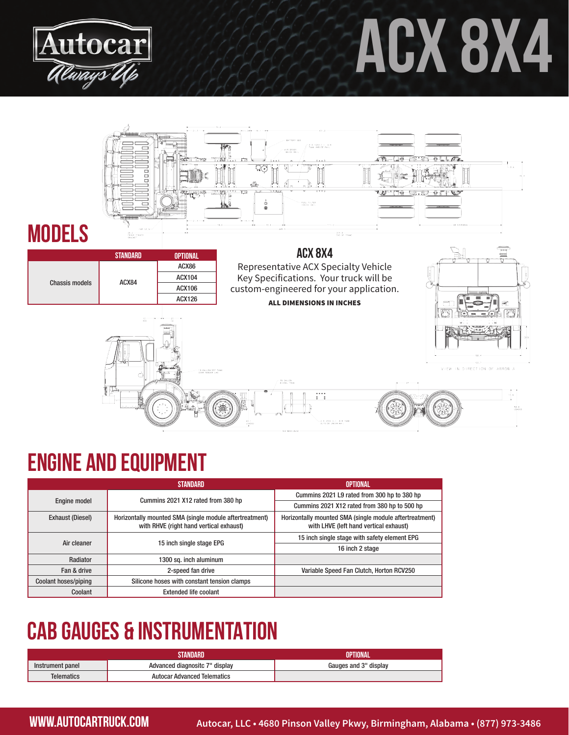

# **ACX 8x4**



#### **Engine and equipment**

|                             | STANDARD                                                                                           | OPTIONAL                                                                                          |
|-----------------------------|----------------------------------------------------------------------------------------------------|---------------------------------------------------------------------------------------------------|
| <b>Engine model</b>         | Cummins 2021 X12 rated from 380 hp                                                                 | Cummins 2021 L9 rated from 300 hp to 380 hp                                                       |
|                             |                                                                                                    | Cummins 2021 X12 rated from 380 hp to 500 hp                                                      |
| <b>Exhaust (Diesel)</b>     | Horizontally mounted SMA (single module aftertreatment)<br>with RHVE (right hand vertical exhaust) | Horizontally mounted SMA (single module aftertreatment)<br>with LHVE (left hand vertical exhaust) |
| Air cleaner                 | 15 inch single stage EPG                                                                           | 15 inch single stage with safety element EPG                                                      |
|                             |                                                                                                    | 16 inch 2 stage                                                                                   |
| Radiator                    | 1300 sq. inch aluminum                                                                             |                                                                                                   |
| Fan & drive                 | 2-speed fan drive                                                                                  | Variable Speed Fan Clutch, Horton RCV250                                                          |
| <b>Coolant hoses/piping</b> | Silicone hoses with constant tension clamps                                                        |                                                                                                   |
| Coolant                     | <b>Extended life coolant</b>                                                                       |                                                                                                   |

### **CAB GAUGES & INSTRUMENTATION**

|                  | TANDARD                            | OPTIONAL              |
|------------------|------------------------------------|-----------------------|
| Instrument panel | Advanced diagnositc 7" display     | Gauges and 3" display |
| Telematics       | <b>Autocar Advanced Telematics</b> |                       |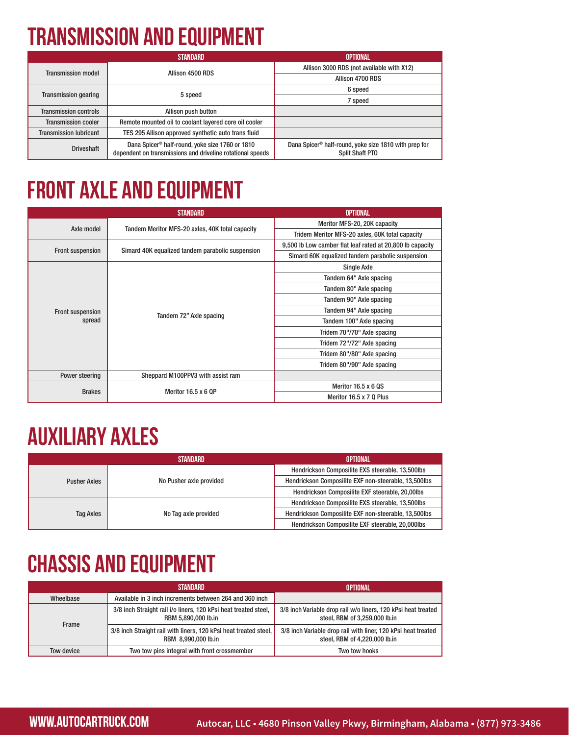# **transmission and equipment**

|                               | STANDARD                                                                                                                  | OPTIONAL                                                                                    |
|-------------------------------|---------------------------------------------------------------------------------------------------------------------------|---------------------------------------------------------------------------------------------|
| <b>Transmission model</b>     | Allison 4500 RDS                                                                                                          | Allison 3000 RDS (not available with X12)                                                   |
|                               |                                                                                                                           | Allison 4700 RDS                                                                            |
| <b>Transmission gearing</b>   | 5 speed                                                                                                                   | 6 speed                                                                                     |
|                               |                                                                                                                           | 7 speed                                                                                     |
| <b>Transmission controls</b>  | Allison push button                                                                                                       |                                                                                             |
| <b>Transmission cooler</b>    | Remote mounted oil to coolant layered core oil cooler                                                                     |                                                                                             |
| <b>Transmission lubricant</b> | TES 295 Allison approved synthetic auto trans fluid                                                                       |                                                                                             |
| <b>Driveshaft</b>             | Dana Spicer <sup>®</sup> half-round, yoke size 1760 or 1810<br>dependent on transmissions and driveline rotational speeds | Dana Spicer <sup>®</sup> half-round, yoke size 1810 with prep for<br><b>Split Shaft PTO</b> |

# **front axle and equipment**

|                         | STANDARD                                         | <b>OPTIONAL</b>                                           |
|-------------------------|--------------------------------------------------|-----------------------------------------------------------|
| Axle model              | Tandem Meritor MFS-20 axles, 40K total capacity  | Meritor MFS-20, 20K capacity                              |
|                         |                                                  | Tridem Meritor MFS-20 axles, 60K total capacity           |
|                         | Simard 40K equalized tandem parabolic suspension | 9,500 lb Low camber flat leaf rated at 20,800 lb capacity |
| <b>Front suspension</b> |                                                  | Simard 60K equalized tandem parabolic suspension          |
|                         | Tandem 72" Axle spacing                          | Single Axle                                               |
|                         |                                                  | Tandem 64" Axle spacing                                   |
|                         |                                                  | Tandem 80" Axle spacing                                   |
|                         |                                                  | Tandem 90" Axle spacing                                   |
| <b>Front suspension</b> |                                                  | Tandem 94" Axle spacing                                   |
| spread                  |                                                  | Tandem 100" Axle spacing                                  |
|                         |                                                  | Tridem 70"/70" Axle spacing                               |
|                         |                                                  | Tridem 72"/72" Axle spacing                               |
|                         |                                                  | Tridem 80"/80" Axle spacing                               |
|                         |                                                  | Tridem 80"/90" Axle spacing                               |
| Power steering          | Sheppard M100PPV3 with assist ram                |                                                           |
| <b>Brakes</b>           | Meritor $16.5 \times 6$ OP                       | Meritor $16.5 \times 6$ QS                                |
|                         |                                                  | Meritor 16.5 x 7 Q Plus                                   |

#### **AUXILIARY AXLES**

|                     | STANDARD                | OPTIONAL                                             |
|---------------------|-------------------------|------------------------------------------------------|
| <b>Pusher Axles</b> | No Pusher axle provided | Hendrickson Composilite EXS steerable, 13,500lbs     |
|                     |                         | Hendrickson Composilite EXF non-steerable, 13,500lbs |
|                     |                         | Hendrickson Composilite EXF steerable, 20,00lbs      |
| <b>Tag Axles</b>    | No Tag axle provided    | Hendrickson Composilite EXS steerable, 13,500lbs     |
|                     |                         | Hendrickson Composilite EXF non-steerable, 13,500lbs |
|                     |                         | Hendrickson Composilite EXF steerable, 20,000lbs     |

# **Chassis and equipment**

|            | STANDARD                                                                                | OPTIONAL                                                                                       |
|------------|-----------------------------------------------------------------------------------------|------------------------------------------------------------------------------------------------|
| Wheelbase  | Available in 3 inch increments between 264 and 360 inch                                 |                                                                                                |
| Frame      | 3/8 inch Straight rail i/o liners, 120 kPsi heat treated steel,<br>RBM 5,890,000 lb.in  | 3/8 inch Variable drop rail w/o liners, 120 kPsi heat treated<br>steel, RBM of 3,259,000 lb.in |
|            | 3/8 inch Straight rail with liners, 120 kPsi heat treated steel,<br>RBM 8,990,000 lb.in | 3/8 inch Variable drop rail with liner, 120 kPsi heat treated<br>steel, RBM of 4,220,000 lb.in |
| Tow device | Two tow pins integral with front crossmember                                            | Two tow hooks                                                                                  |